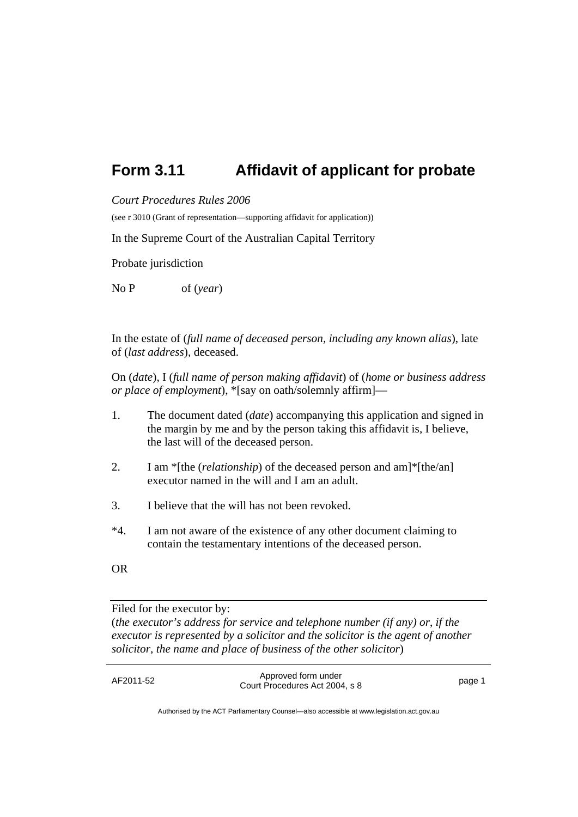## **Form 3.11 Affidavit of applicant for probate**

*Court Procedures Rules 2006* 

(see r 3010 (Grant of representation—supporting affidavit for application))

In the Supreme Court of the Australian Capital Territory

Probate jurisdiction

No P of (*year*)

In the estate of (*full name of deceased person, including any known alias*), late of (*last address*)*,* deceased.

On (*date*), I (*full name of person making affidavit*) of (*home or business address or place of employment*), \*[say on oath/solemnly affirm]—

- 1. The document dated (*date*) accompanying this application and signed in the margin by me and by the person taking this affidavit is, I believe, the last will of the deceased person.
- 2. I am \*[the (*relationship*) of the deceased person and am]\*[the/an] executor named in the will and I am an adult.
- 3. I believe that the will has not been revoked.
- \*4. I am not aware of the existence of any other document claiming to contain the testamentary intentions of the deceased person.
- OR

Filed for the executor by:

(*the executor's address for service and telephone number (if any) or*, *if the executor is represented by a solicitor and the solicitor is the agent of another solicitor, the name and place of business of the other solicitor*)

AF2011-52 Approved form under Proved form and enterprise the state of the page 1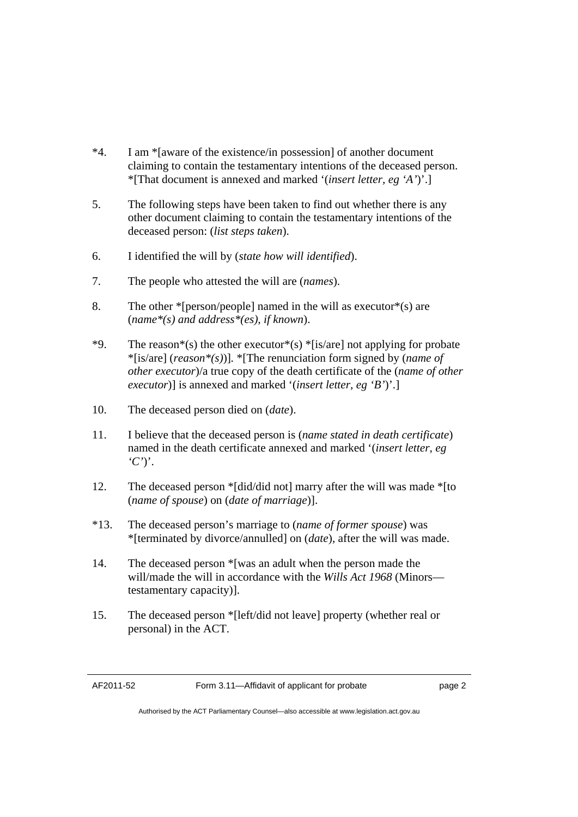- \*4. I am \*[aware of the existence/in possession] of another document claiming to contain the testamentary intentions of the deceased person. \*[That document is annexed and marked '(*insert letter, eg 'A'*)'.]
- 5. The following steps have been taken to find out whether there is any other document claiming to contain the testamentary intentions of the deceased person: (*list steps taken*).
- 6. I identified the will by (*state how will identified*).
- 7. The people who attested the will are (*names*).
- 8. The other  $*$ [person/people] named in the will as executor $*$ (s) are (*name\*(s) and address\*(es), if known*).
- \*9. The reason\*(s) the other executor\*(s) \*[is/are] not applying for probate \*[is/are] (*reason\*(s)*)]*.* \*[The renunciation form signed by (*name of other executor*)/a true copy of the death certificate of the (*name of other executor*)] is annexed and marked '(*insert letter, eg 'B'*)'.]
- 10. The deceased person died on (*date*).
- 11. I believe that the deceased person is (*name stated in death certificate*) named in the death certificate annexed and marked '(*insert letter, eg 'C'*)'.
- 12. The deceased person \*[did/did not] marry after the will was made \*[to (*name of spouse*) on (*date of marriage*)].
- \*13. The deceased person's marriage to (*name of former spouse*) was \*[terminated by divorce/annulled] on (*date*), after the will was made.
- 14. The deceased person \*[was an adult when the person made the will/made the will in accordance with the *Wills Act 1968* (Minors testamentary capacity)].
- 15. The deceased person \*[left/did not leave] property (whether real or personal) in the ACT.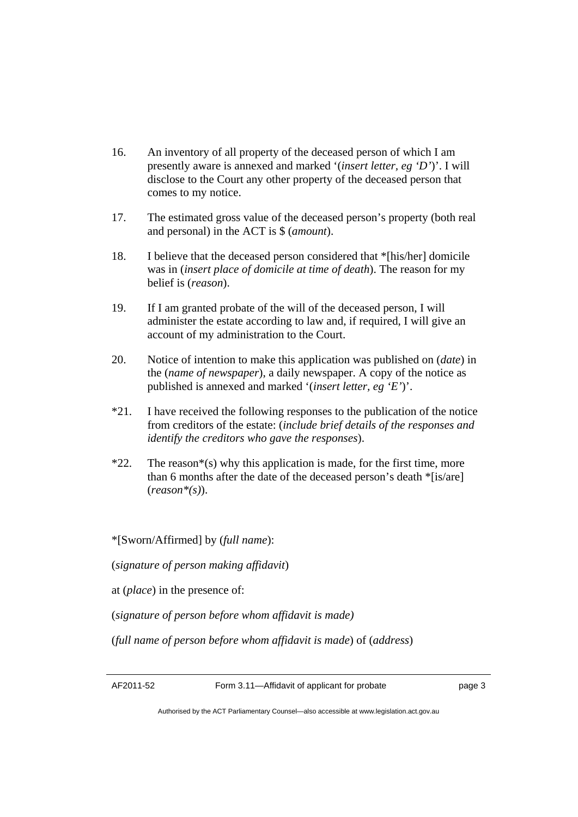- 16. An inventory of all property of the deceased person of which I am presently aware is annexed and marked '(*insert letter, eg 'D'*)'. I will disclose to the Court any other property of the deceased person that comes to my notice.
- 17. The estimated gross value of the deceased person's property (both real and personal) in the ACT is \$ (*amount*).
- 18. I believe that the deceased person considered that \*[his/her] domicile was in (*insert place of domicile at time of death*). The reason for my belief is (*reason*).
- 19. If I am granted probate of the will of the deceased person, I will administer the estate according to law and, if required, I will give an account of my administration to the Court.
- 20. Notice of intention to make this application was published on (*date*) in the (*name of newspaper*), a daily newspaper. A copy of the notice as published is annexed and marked '(*insert letter, eg 'E'*)'.
- \*21. I have received the following responses to the publication of the notice from creditors of the estate: (*include brief details of the responses and identify the creditors who gave the responses*).
- $*22$ . The reason $*(s)$  why this application is made, for the first time, more than 6 months after the date of the deceased person's death \*[is/are] (*reason\*(s)*).

\*[Sworn/Affirmed] by (*full name*):

(*signature of person making affidavit*)

at (*place*) in the presence of:

(*signature of person before whom affidavit is made)* 

(*full name of person before whom affidavit is made*) of (*address*)

AF2011-52 Form 3.11—Affidavit of applicant for probate page 3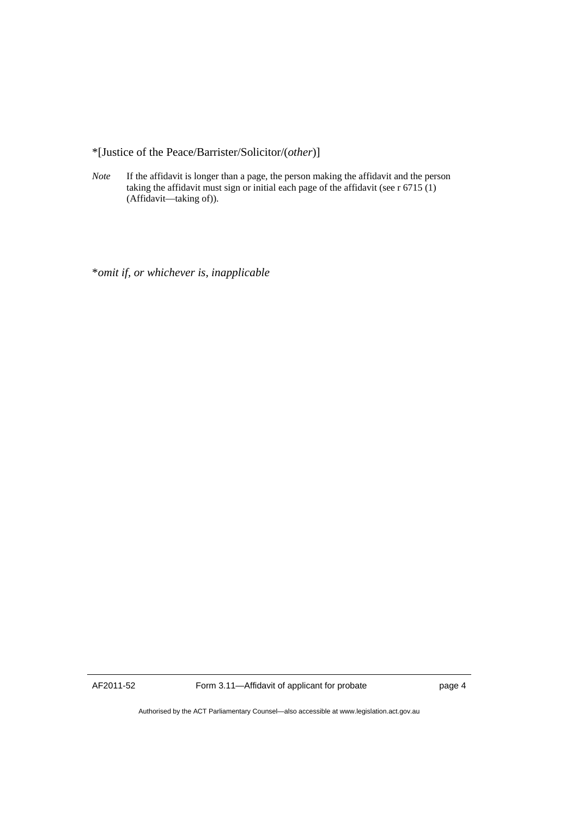\*[Justice of the Peace/Barrister/Solicitor/(*other*)]

*Note* If the affidavit is longer than a page, the person making the affidavit and the person taking the affidavit must sign or initial each page of the affidavit (see r 6715 (1) (Affidavit—taking of)).

\**omit if, or whichever is, inapplicable* 

AF2011-52 Form 3.11—Affidavit of applicant for probate page 4